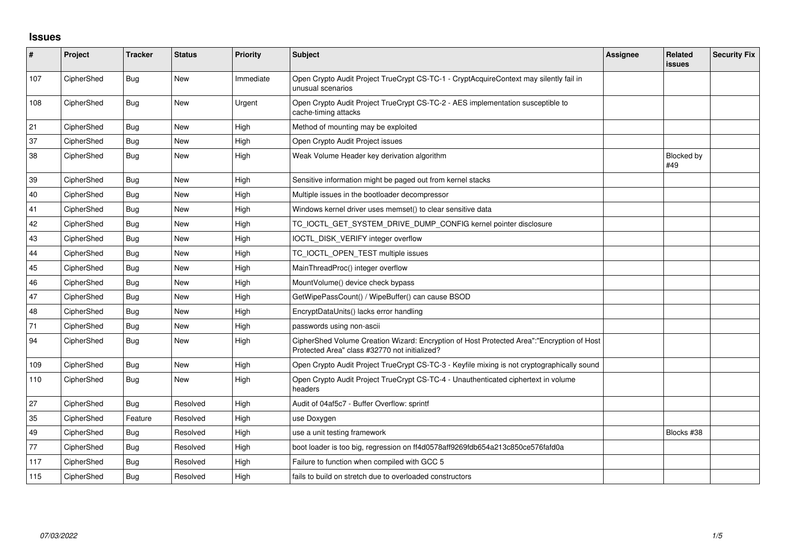## **Issues**

| #   | Project    | <b>Tracker</b> | <b>Status</b> | Priority  | Subject                                                                                                                                    | <b>Assignee</b> | Related<br>issues        | <b>Security Fix</b> |
|-----|------------|----------------|---------------|-----------|--------------------------------------------------------------------------------------------------------------------------------------------|-----------------|--------------------------|---------------------|
| 107 | CipherShed | Bug            | New           | Immediate | Open Crypto Audit Project TrueCrypt CS-TC-1 - CryptAcquireContext may silently fail in<br>unusual scenarios                                |                 |                          |                     |
| 108 | CipherShed | Bug            | <b>New</b>    | Urgent    | Open Crypto Audit Project TrueCrypt CS-TC-2 - AES implementation susceptible to<br>cache-timing attacks                                    |                 |                          |                     |
| 21  | CipherShed | <b>Bug</b>     | <b>New</b>    | High      | Method of mounting may be exploited                                                                                                        |                 |                          |                     |
| 37  | CipherShed | Bug            | New           | High      | Open Crypto Audit Project issues                                                                                                           |                 |                          |                     |
| 38  | CipherShed | <b>Bug</b>     | New           | High      | Weak Volume Header key derivation algorithm                                                                                                |                 | <b>Blocked by</b><br>#49 |                     |
| 39  | CipherShed | <b>Bug</b>     | <b>New</b>    | High      | Sensitive information might be paged out from kernel stacks                                                                                |                 |                          |                     |
| 40  | CipherShed | Bug            | <b>New</b>    | High      | Multiple issues in the bootloader decompressor                                                                                             |                 |                          |                     |
| 41  | CipherShed | <b>Bug</b>     | <b>New</b>    | High      | Windows kernel driver uses memset() to clear sensitive data                                                                                |                 |                          |                     |
| 42  | CipherShed | <b>Bug</b>     | New           | High      | TC_IOCTL_GET_SYSTEM_DRIVE_DUMP_CONFIG kernel pointer disclosure                                                                            |                 |                          |                     |
| 43  | CipherShed | <b>Bug</b>     | <b>New</b>    | High      | IOCTL_DISK_VERIFY integer overflow                                                                                                         |                 |                          |                     |
| 44  | CipherShed | Bug            | <b>New</b>    | High      | TC_IOCTL_OPEN_TEST multiple issues                                                                                                         |                 |                          |                     |
| 45  | CipherShed | <b>Bug</b>     | New           | High      | MainThreadProc() integer overflow                                                                                                          |                 |                          |                     |
| 46  | CipherShed | Bug            | <b>New</b>    | High      | MountVolume() device check bypass                                                                                                          |                 |                          |                     |
| 47  | CipherShed | Bug            | <b>New</b>    | High      | GetWipePassCount() / WipeBuffer() can cause BSOD                                                                                           |                 |                          |                     |
| 48  | CipherShed | <b>Bug</b>     | <b>New</b>    | High      | EncryptDataUnits() lacks error handling                                                                                                    |                 |                          |                     |
| 71  | CipherShed | Bug            | <b>New</b>    | High      | passwords using non-ascii                                                                                                                  |                 |                          |                     |
| 94  | CipherShed | Bug            | New           | High      | CipherShed Volume Creation Wizard: Encryption of Host Protected Area":"Encryption of Host<br>Protected Area" class #32770 not initialized? |                 |                          |                     |
| 109 | CipherShed | <b>Bug</b>     | New           | High      | Open Crypto Audit Project TrueCrypt CS-TC-3 - Keyfile mixing is not cryptographically sound                                                |                 |                          |                     |
| 110 | CipherShed | Bug            | New           | High      | Open Crypto Audit Project TrueCrypt CS-TC-4 - Unauthenticated ciphertext in volume<br>headers                                              |                 |                          |                     |
| 27  | CipherShed | Bug            | Resolved      | High      | Audit of 04af5c7 - Buffer Overflow: sprintf                                                                                                |                 |                          |                     |
| 35  | CipherShed | Feature        | Resolved      | High      | use Doxygen                                                                                                                                |                 |                          |                     |
| 49  | CipherShed | Bug            | Resolved      | High      | use a unit testing framework                                                                                                               |                 | Blocks #38               |                     |
| 77  | CipherShed | <b>Bug</b>     | Resolved      | High      | boot loader is too big, regression on ff4d0578aff9269fdb654a213c850ce576fafd0a                                                             |                 |                          |                     |
| 117 | CipherShed | <b>Bug</b>     | Resolved      | High      | Failure to function when compiled with GCC 5                                                                                               |                 |                          |                     |
| 115 | CipherShed | Bug            | Resolved      | High      | fails to build on stretch due to overloaded constructors                                                                                   |                 |                          |                     |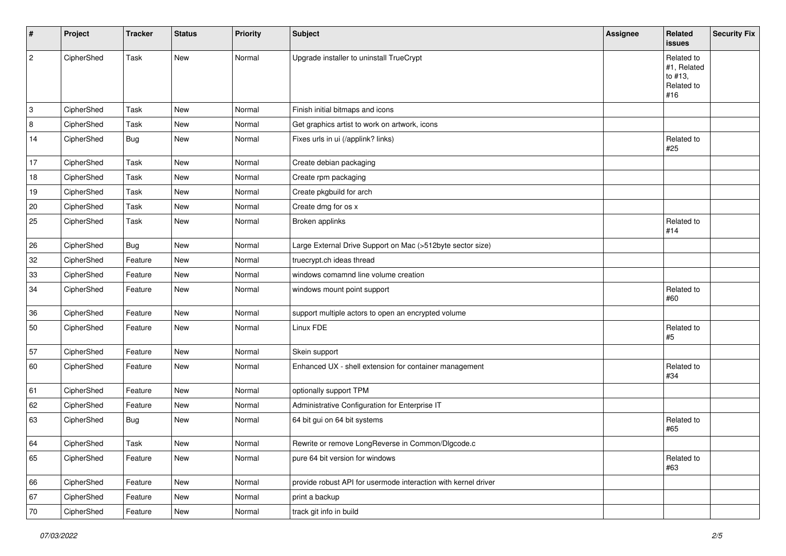| #                | Project    | <b>Tracker</b> | <b>Status</b> | <b>Priority</b> | <b>Subject</b>                                                 | Assignee | Related<br>issues                                         | <b>Security Fix</b> |
|------------------|------------|----------------|---------------|-----------------|----------------------------------------------------------------|----------|-----------------------------------------------------------|---------------------|
| $\boldsymbol{2}$ | CipherShed | Task           | New           | Normal          | Upgrade installer to uninstall TrueCrypt                       |          | Related to<br>#1, Related<br>to #13,<br>Related to<br>#16 |                     |
| 3                | CipherShed | Task           | New           | Normal          | Finish initial bitmaps and icons                               |          |                                                           |                     |
| 8                | CipherShed | Task           | New           | Normal          | Get graphics artist to work on artwork, icons                  |          |                                                           |                     |
| 14               | CipherShed | <b>Bug</b>     | New           | Normal          | Fixes urls in ui (/applink? links)                             |          | Related to<br>#25                                         |                     |
| 17               | CipherShed | Task           | New           | Normal          | Create debian packaging                                        |          |                                                           |                     |
| 18               | CipherShed | Task           | New           | Normal          | Create rpm packaging                                           |          |                                                           |                     |
| 19               | CipherShed | Task           | New           | Normal          | Create pkgbuild for arch                                       |          |                                                           |                     |
| 20               | CipherShed | Task           | New           | Normal          | Create dmg for os x                                            |          |                                                           |                     |
| 25               | CipherShed | Task           | New           | Normal          | Broken applinks                                                |          | Related to<br>#14                                         |                     |
| 26               | CipherShed | <b>Bug</b>     | New           | Normal          | Large External Drive Support on Mac (>512byte sector size)     |          |                                                           |                     |
| 32               | CipherShed | Feature        | New           | Normal          | truecrypt.ch ideas thread                                      |          |                                                           |                     |
| $33\,$           | CipherShed | Feature        | New           | Normal          | windows comamnd line volume creation                           |          |                                                           |                     |
| 34               | CipherShed | Feature        | New           | Normal          | windows mount point support                                    |          | Related to<br>#60                                         |                     |
| 36               | CipherShed | Feature        | New           | Normal          | support multiple actors to open an encrypted volume            |          |                                                           |                     |
| 50               | CipherShed | Feature        | New           | Normal          | Linux FDE                                                      |          | Related to<br>#5                                          |                     |
| 57               | CipherShed | Feature        | New           | Normal          | Skein support                                                  |          |                                                           |                     |
| 60               | CipherShed | Feature        | New           | Normal          | Enhanced UX - shell extension for container management         |          | Related to<br>#34                                         |                     |
| 61               | CipherShed | Feature        | New           | Normal          | optionally support TPM                                         |          |                                                           |                     |
| 62               | CipherShed | Feature        | New           | Normal          | Administrative Configuration for Enterprise IT                 |          |                                                           |                     |
| 63               | CipherShed | <b>Bug</b>     | New           | Normal          | 64 bit gui on 64 bit systems                                   |          | Related to<br>#65                                         |                     |
| 64               | CipherShed | Task           | New           | Normal          | Rewrite or remove LongReverse in Common/DIgcode.c              |          |                                                           |                     |
| 65               | CipherShed | Feature        | New           | Normal          | pure 64 bit version for windows                                |          | Related to<br>#63                                         |                     |
| 66               | CipherShed | Feature        | New           | Normal          | provide robust API for usermode interaction with kernel driver |          |                                                           |                     |
| 67               | CipherShed | Feature        | New           | Normal          | print a backup                                                 |          |                                                           |                     |
| 70               | CipherShed | Feature        | New           | Normal          | track git info in build                                        |          |                                                           |                     |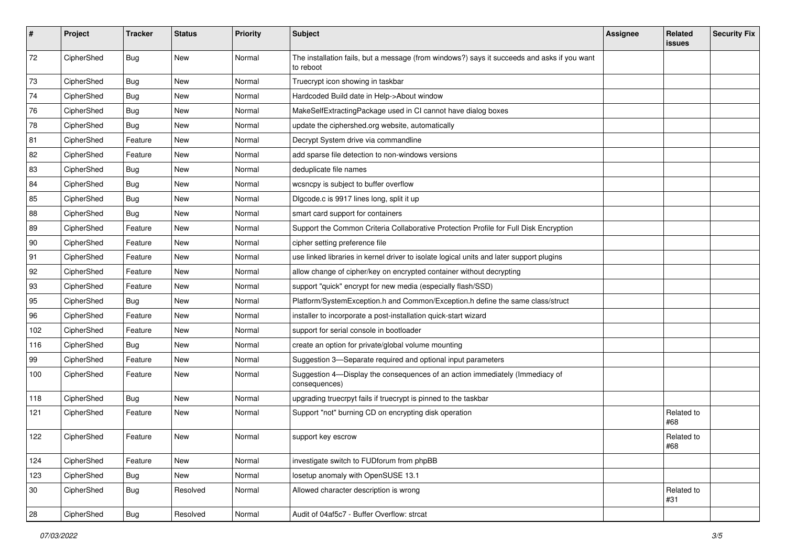| #   | Project    | <b>Tracker</b> | <b>Status</b> | Priority | <b>Subject</b>                                                                                           | <b>Assignee</b> | Related<br>issues   | <b>Security Fix</b> |
|-----|------------|----------------|---------------|----------|----------------------------------------------------------------------------------------------------------|-----------------|---------------------|---------------------|
| 72  | CipherShed | Bug            | <b>New</b>    | Normal   | The installation fails, but a message (from windows?) says it succeeds and asks if you want<br>to reboot |                 |                     |                     |
| 73  | CipherShed | Bug            | New           | Normal   | Truecrypt icon showing in taskbar                                                                        |                 |                     |                     |
| 74  | CipherShed | <b>Bug</b>     | <b>New</b>    | Normal   | Hardcoded Build date in Help->About window                                                               |                 |                     |                     |
| 76  | CipherShed | Bug            | New           | Normal   | MakeSelfExtractingPackage used in CI cannot have dialog boxes                                            |                 |                     |                     |
| 78  | CipherShed | Bug            | <b>New</b>    | Normal   | update the ciphershed.org website, automatically                                                         |                 |                     |                     |
| 81  | CipherShed | Feature        | New           | Normal   | Decrypt System drive via commandline                                                                     |                 |                     |                     |
| 82  | CipherShed | Feature        | New           | Normal   | add sparse file detection to non-windows versions                                                        |                 |                     |                     |
| 83  | CipherShed | <b>Bug</b>     | <b>New</b>    | Normal   | deduplicate file names                                                                                   |                 |                     |                     |
| 84  | CipherShed | <b>Bug</b>     | New           | Normal   | wcsncpy is subject to buffer overflow                                                                    |                 |                     |                     |
| 85  | CipherShed | <b>Bug</b>     | New           | Normal   | Digcode.c is 9917 lines long, split it up                                                                |                 |                     |                     |
| 88  | CipherShed | Bug            | New           | Normal   | smart card support for containers                                                                        |                 |                     |                     |
| 89  | CipherShed | Feature        | New           | Normal   | Support the Common Criteria Collaborative Protection Profile for Full Disk Encryption                    |                 |                     |                     |
| 90  | CipherShed | Feature        | New           | Normal   | cipher setting preference file                                                                           |                 |                     |                     |
| 91  | CipherShed | Feature        | New           | Normal   | use linked libraries in kernel driver to isolate logical units and later support plugins                 |                 |                     |                     |
| 92  | CipherShed | Feature        | New           | Normal   | allow change of cipher/key on encrypted container without decrypting                                     |                 |                     |                     |
| 93  | CipherShed | Feature        | New           | Normal   | support "quick" encrypt for new media (especially flash/SSD)                                             |                 |                     |                     |
| 95  | CipherShed | Bug            | New           | Normal   | Platform/SystemException.h and Common/Exception.h define the same class/struct                           |                 |                     |                     |
| 96  | CipherShed | Feature        | <b>New</b>    | Normal   | installer to incorporate a post-installation quick-start wizard                                          |                 |                     |                     |
| 102 | CipherShed | Feature        | New           | Normal   | support for serial console in bootloader                                                                 |                 |                     |                     |
| 116 | CipherShed | Bug            | New           | Normal   | create an option for private/global volume mounting                                                      |                 |                     |                     |
| 99  | CipherShed | Feature        | <b>New</b>    | Normal   | Suggestion 3-Separate required and optional input parameters                                             |                 |                     |                     |
| 100 | CipherShed | Feature        | New           | Normal   | Suggestion 4-Display the consequences of an action immediately (Immediacy of<br>consequences)            |                 |                     |                     |
| 118 | CipherShed | <b>Bug</b>     | New           | Normal   | upgrading truecrpyt fails if truecrypt is pinned to the taskbar                                          |                 |                     |                     |
| 121 | CipherShed | Feature        | New           | Normal   | Support "not" burning CD on encrypting disk operation                                                    |                 | Related to<br>#68   |                     |
| 122 | CipherShed | Feature        | New           | Normal   | support key escrow                                                                                       |                 | Related to<br>! #68 |                     |
| 124 | CipherShed | Feature        | New           | Normal   | investigate switch to FUDforum from phpBB                                                                |                 |                     |                     |
| 123 | CipherShed | Bug            | New           | Normal   | losetup anomaly with OpenSUSE 13.1                                                                       |                 |                     |                     |
| 30  | CipherShed | <b>Bug</b>     | Resolved      | Normal   | Allowed character description is wrong                                                                   |                 | Related to<br>#31   |                     |
| 28  | CipherShed | <b>Bug</b>     | Resolved      | Normal   | Audit of 04af5c7 - Buffer Overflow: strcat                                                               |                 |                     |                     |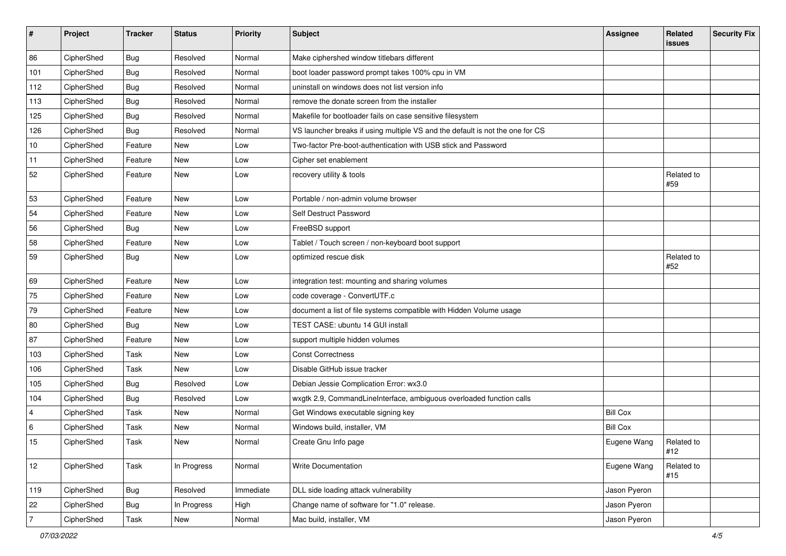| $\pmb{\#}$               | Project    | <b>Tracker</b> | <b>Status</b> | <b>Priority</b> | <b>Subject</b>                                                                | <b>Assignee</b> | Related<br><b>issues</b> | <b>Security Fix</b> |
|--------------------------|------------|----------------|---------------|-----------------|-------------------------------------------------------------------------------|-----------------|--------------------------|---------------------|
| 86                       | CipherShed | Bug            | Resolved      | Normal          | Make ciphershed window titlebars different                                    |                 |                          |                     |
| 101                      | CipherShed | Bug            | Resolved      | Normal          | boot loader password prompt takes 100% cpu in VM                              |                 |                          |                     |
| 112                      | CipherShed | <b>Bug</b>     | Resolved      | Normal          | uninstall on windows does not list version info                               |                 |                          |                     |
| 113                      | CipherShed | Bug            | Resolved      | Normal          | remove the donate screen from the installer                                   |                 |                          |                     |
| 125                      | CipherShed | <b>Bug</b>     | Resolved      | Normal          | Makefile for bootloader fails on case sensitive filesystem                    |                 |                          |                     |
| 126                      | CipherShed | <b>Bug</b>     | Resolved      | Normal          | VS launcher breaks if using multiple VS and the default is not the one for CS |                 |                          |                     |
| $10\,$                   | CipherShed | Feature        | New           | Low             | Two-factor Pre-boot-authentication with USB stick and Password                |                 |                          |                     |
| 11                       | CipherShed | Feature        | New           | Low             | Cipher set enablement                                                         |                 |                          |                     |
| 52                       | CipherShed | Feature        | New           | Low             | recovery utility & tools                                                      |                 | Related to<br>#59        |                     |
| 53                       | CipherShed | Feature        | <b>New</b>    | Low             | Portable / non-admin volume browser                                           |                 |                          |                     |
| 54                       | CipherShed | Feature        | New           | Low             | Self Destruct Password                                                        |                 |                          |                     |
| 56                       | CipherShed | <b>Bug</b>     | New           | Low             | FreeBSD support                                                               |                 |                          |                     |
| 58                       | CipherShed | Feature        | New           | Low             | Tablet / Touch screen / non-keyboard boot support                             |                 |                          |                     |
| 59                       | CipherShed | <b>Bug</b>     | New           | Low             | optimized rescue disk                                                         |                 | Related to<br>#52        |                     |
| 69                       | CipherShed | Feature        | New           | Low             | integration test: mounting and sharing volumes                                |                 |                          |                     |
| 75                       | CipherShed | Feature        | New           | Low             | code coverage - ConvertUTF.c                                                  |                 |                          |                     |
| 79                       | CipherShed | Feature        | New           | Low             | document a list of file systems compatible with Hidden Volume usage           |                 |                          |                     |
| 80                       | CipherShed | <b>Bug</b>     | <b>New</b>    | Low             | TEST CASE: ubuntu 14 GUI install                                              |                 |                          |                     |
| 87                       | CipherShed | Feature        | New           | Low             | support multiple hidden volumes                                               |                 |                          |                     |
| 103                      | CipherShed | Task           | <b>New</b>    | Low             | <b>Const Correctness</b>                                                      |                 |                          |                     |
| 106                      | CipherShed | Task           | <b>New</b>    | Low             | Disable GitHub issue tracker                                                  |                 |                          |                     |
| 105                      | CipherShed | <b>Bug</b>     | Resolved      | Low             | Debian Jessie Complication Error: wx3.0                                       |                 |                          |                     |
| 104                      | CipherShed | Bug            | Resolved      | Low             | wxgtk 2.9, CommandLineInterface, ambiguous overloaded function calls          |                 |                          |                     |
| 4                        | CipherShed | Task           | New           | Normal          | Get Windows executable signing key                                            | <b>Bill Cox</b> |                          |                     |
| 6                        | CipherShed | Task           | New           | Normal          | Windows build, installer, VM                                                  | <b>Bill Cox</b> |                          |                     |
| 15                       | CipherShed | Task           | New           | Normal          | Create Gnu Info page                                                          | Eugene Wang     | Related to<br>#12        |                     |
| 12                       | CipherShed | Task           | In Progress   | Normal          | Write Documentation                                                           | Eugene Wang     | Related to<br>#15        |                     |
| 119                      | CipherShed | <b>Bug</b>     | Resolved      | Immediate       | DLL side loading attack vulnerability                                         | Jason Pyeron    |                          |                     |
| 22                       | CipherShed | <b>Bug</b>     | In Progress   | High            | Change name of software for "1.0" release.                                    | Jason Pyeron    |                          |                     |
| $\overline{\mathcal{I}}$ | CipherShed | Task           | New           | Normal          | Mac build, installer, VM                                                      | Jason Pyeron    |                          |                     |